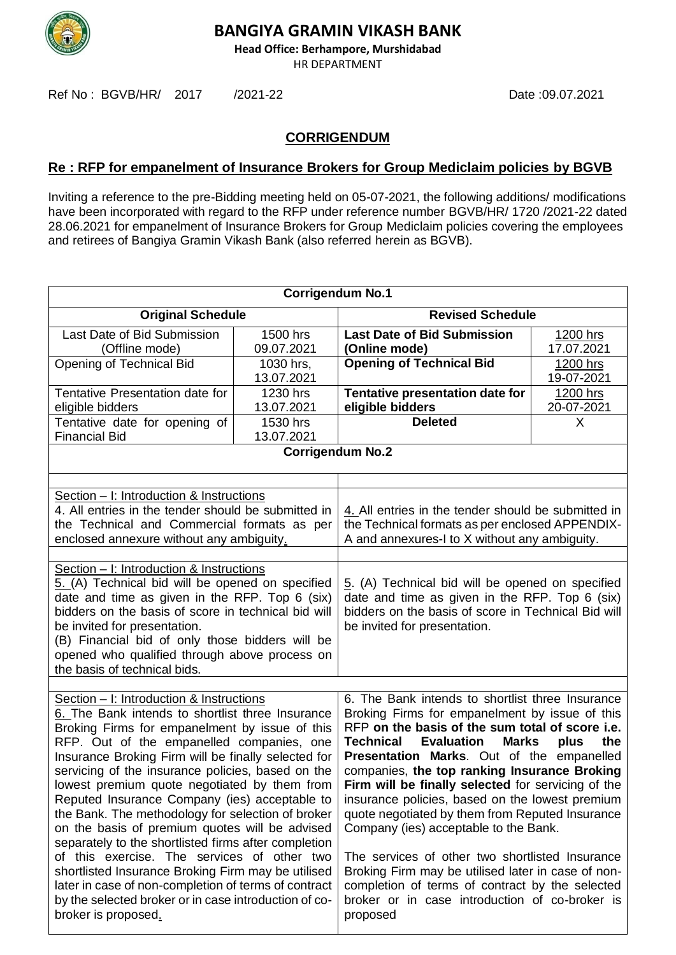

**Head Office: Berhampore, Murshidabad**

HR DEPARTMENT

Ref No : BGVB/HR/ 2017 /2021-22 Date :09.07.2021

### **CORRIGENDUM**

#### **Re : RFP for empanelment of Insurance Brokers for Group Mediclaim policies by BGVB**

Inviting a reference to the pre-Bidding meeting held on 05-07-2021, the following additions/ modifications have been incorporated with regard to the RFP under reference number BGVB/HR/ 1720 /2021-22 dated 28.06.2021 for empanelment of Insurance Brokers for Group Mediclaim policies covering the employees and retirees of Bangiya Gramin Vikash Bank (also referred herein as BGVB).

| <b>Corrigendum No.1</b>                                                                                                                                                                                                                                                                                                                                                                                                                                                                                                                                                                                                                                                                                                                                                                                              |                         |                                                                                                                                                                                                                                                                                                                                                                                                                                                                                                                                                                                                                                                                                                                                                           |                        |
|----------------------------------------------------------------------------------------------------------------------------------------------------------------------------------------------------------------------------------------------------------------------------------------------------------------------------------------------------------------------------------------------------------------------------------------------------------------------------------------------------------------------------------------------------------------------------------------------------------------------------------------------------------------------------------------------------------------------------------------------------------------------------------------------------------------------|-------------------------|-----------------------------------------------------------------------------------------------------------------------------------------------------------------------------------------------------------------------------------------------------------------------------------------------------------------------------------------------------------------------------------------------------------------------------------------------------------------------------------------------------------------------------------------------------------------------------------------------------------------------------------------------------------------------------------------------------------------------------------------------------------|------------------------|
| <b>Original Schedule</b>                                                                                                                                                                                                                                                                                                                                                                                                                                                                                                                                                                                                                                                                                                                                                                                             |                         | <b>Revised Schedule</b>                                                                                                                                                                                                                                                                                                                                                                                                                                                                                                                                                                                                                                                                                                                                   |                        |
| Last Date of Bid Submission<br>(Offline mode)                                                                                                                                                                                                                                                                                                                                                                                                                                                                                                                                                                                                                                                                                                                                                                        | 1500 hrs<br>09.07.2021  | <b>Last Date of Bid Submission</b><br>(Online mode)                                                                                                                                                                                                                                                                                                                                                                                                                                                                                                                                                                                                                                                                                                       | 1200 hrs<br>17.07.2021 |
| Opening of Technical Bid                                                                                                                                                                                                                                                                                                                                                                                                                                                                                                                                                                                                                                                                                                                                                                                             | 1030 hrs,<br>13.07.2021 | <b>Opening of Technical Bid</b>                                                                                                                                                                                                                                                                                                                                                                                                                                                                                                                                                                                                                                                                                                                           | 1200 hrs<br>19-07-2021 |
| Tentative Presentation date for<br>eligible bidders                                                                                                                                                                                                                                                                                                                                                                                                                                                                                                                                                                                                                                                                                                                                                                  | 1230 hrs<br>13.07.2021  | Tentative presentation date for<br>eligible bidders                                                                                                                                                                                                                                                                                                                                                                                                                                                                                                                                                                                                                                                                                                       | 1200 hrs<br>20-07-2021 |
| Tentative date for opening of<br><b>Financial Bid</b>                                                                                                                                                                                                                                                                                                                                                                                                                                                                                                                                                                                                                                                                                                                                                                | 1530 hrs<br>13.07.2021  | <b>Deleted</b>                                                                                                                                                                                                                                                                                                                                                                                                                                                                                                                                                                                                                                                                                                                                            | X                      |
|                                                                                                                                                                                                                                                                                                                                                                                                                                                                                                                                                                                                                                                                                                                                                                                                                      |                         | <b>Corrigendum No.2</b>                                                                                                                                                                                                                                                                                                                                                                                                                                                                                                                                                                                                                                                                                                                                   |                        |
| Section – I: Introduction & Instructions<br>4. All entries in the tender should be submitted in                                                                                                                                                                                                                                                                                                                                                                                                                                                                                                                                                                                                                                                                                                                      |                         | 4. All entries in the tender should be submitted in                                                                                                                                                                                                                                                                                                                                                                                                                                                                                                                                                                                                                                                                                                       |                        |
| the Technical and Commercial formats as per<br>enclosed annexure without any ambiguity.                                                                                                                                                                                                                                                                                                                                                                                                                                                                                                                                                                                                                                                                                                                              |                         | the Technical formats as per enclosed APPENDIX-<br>A and annexures-I to X without any ambiguity.                                                                                                                                                                                                                                                                                                                                                                                                                                                                                                                                                                                                                                                          |                        |
| Section - I: Introduction & Instructions<br>5. (A) Technical bid will be opened on specified<br>date and time as given in the RFP. Top 6 (six)<br>bidders on the basis of score in technical bid will<br>be invited for presentation.<br>(B) Financial bid of only those bidders will be<br>opened who qualified through above process on<br>the basis of technical bids.                                                                                                                                                                                                                                                                                                                                                                                                                                            |                         | 5. (A) Technical bid will be opened on specified<br>date and time as given in the RFP. Top 6 (six)<br>bidders on the basis of score in Technical Bid will<br>be invited for presentation.                                                                                                                                                                                                                                                                                                                                                                                                                                                                                                                                                                 |                        |
| Section - I: Introduction & Instructions<br>6. The Bank intends to shortlist three Insurance<br>Broking Firms for empanelment by issue of this<br>RFP. Out of the empanelled companies, one<br>Insurance Broking Firm will be finally selected for<br>servicing of the insurance policies, based on the<br>lowest premium quote negotiated by them from<br>Reputed Insurance Company (ies) acceptable to<br>the Bank. The methodology for selection of broker<br>on the basis of premium quotes will be advised<br>separately to the shortlisted firms after completion<br>of this exercise. The services of other two<br>shortlisted Insurance Broking Firm may be utilised<br>later in case of non-completion of terms of contract<br>by the selected broker or in case introduction of co-<br>broker is proposed. |                         | 6. The Bank intends to shortlist three Insurance<br>Broking Firms for empanelment by issue of this<br>RFP on the basis of the sum total of score i.e.<br><b>Technical</b><br><b>Evaluation</b><br><b>Marks</b><br>plus<br>the<br>Presentation Marks. Out of the empanelled<br>companies, the top ranking Insurance Broking<br>Firm will be finally selected for servicing of the<br>insurance policies, based on the lowest premium<br>quote negotiated by them from Reputed Insurance<br>Company (ies) acceptable to the Bank.<br>The services of other two shortlisted Insurance<br>Broking Firm may be utilised later in case of non-<br>completion of terms of contract by the selected<br>broker or in case introduction of co-broker is<br>proposed |                        |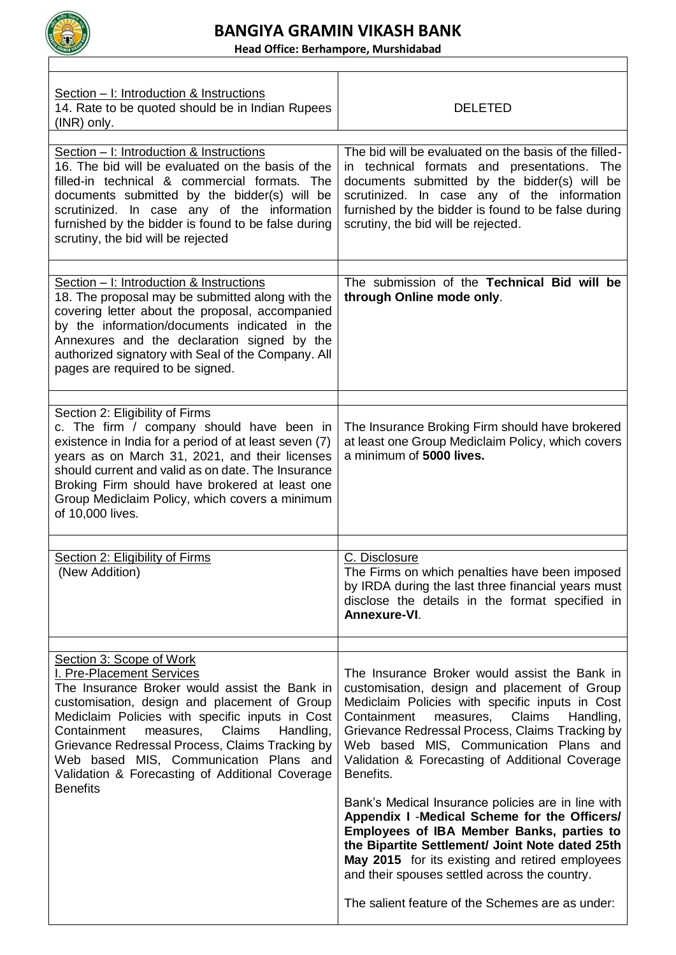

**Head Office: Berhampore, Murshidabad**

٦

| Section - I: Introduction & Instructions<br>14. Rate to be quoted should be in Indian Rupees<br>(INR) only.                                                                                                                                                                                                                                                                                                                     | <b>DELETED</b>                                                                                                                                                                                                                                                                                                                                                   |
|---------------------------------------------------------------------------------------------------------------------------------------------------------------------------------------------------------------------------------------------------------------------------------------------------------------------------------------------------------------------------------------------------------------------------------|------------------------------------------------------------------------------------------------------------------------------------------------------------------------------------------------------------------------------------------------------------------------------------------------------------------------------------------------------------------|
| Section - I: Introduction & Instructions<br>16. The bid will be evaluated on the basis of the<br>filled-in technical & commercial formats. The<br>documents submitted by the bidder(s) will be<br>scrutinized. In case any of the information<br>furnished by the bidder is found to be false during<br>scrutiny, the bid will be rejected                                                                                      | The bid will be evaluated on the basis of the filled-<br>in technical formats and presentations. The<br>documents submitted by the bidder(s) will be<br>scrutinized. In case any of the information<br>furnished by the bidder is found to be false during<br>scrutiny, the bid will be rejected.                                                                |
| Section - I: Introduction & Instructions<br>18. The proposal may be submitted along with the<br>covering letter about the proposal, accompanied<br>by the information/documents indicated in the<br>Annexures and the declaration signed by the<br>authorized signatory with Seal of the Company. All<br>pages are required to be signed.                                                                                       | The submission of the Technical Bid will be<br>through Online mode only.                                                                                                                                                                                                                                                                                         |
| Section 2: Eligibility of Firms<br>c. The firm / company should have been in<br>existence in India for a period of at least seven (7)<br>years as on March 31, 2021, and their licenses<br>should current and valid as on date. The Insurance<br>Broking Firm should have brokered at least one<br>Group Mediclaim Policy, which covers a minimum<br>of 10,000 lives.                                                           | The Insurance Broking Firm should have brokered<br>at least one Group Mediclaim Policy, which covers<br>a minimum of 5000 lives.                                                                                                                                                                                                                                 |
| Section 2: Eligibility of Firms<br>(New Addition)                                                                                                                                                                                                                                                                                                                                                                               | C. Disclosure<br>The Firms on which penalties have been imposed<br>by IRDA during the last three financial years must<br>disclose the details in the format specified in<br>Annexure-VI.                                                                                                                                                                         |
| Section 3: Scope of Work<br>I. Pre-Placement Services<br>The Insurance Broker would assist the Bank in<br>customisation, design and placement of Group<br>Mediclaim Policies with specific inputs in Cost<br>Containment<br>Claims<br>measures,<br>Handling,<br>Grievance Redressal Process, Claims Tracking by<br>Web based MIS, Communication Plans and<br>Validation & Forecasting of Additional Coverage<br><b>Benefits</b> | The Insurance Broker would assist the Bank in<br>customisation, design and placement of Group<br>Mediclaim Policies with specific inputs in Cost<br>Containment<br>measures,<br>Claims<br>Handling,<br>Grievance Redressal Process, Claims Tracking by<br>Web based MIS, Communication Plans and<br>Validation & Forecasting of Additional Coverage<br>Benefits. |
|                                                                                                                                                                                                                                                                                                                                                                                                                                 | Bank's Medical Insurance policies are in line with<br>Appendix I -Medical Scheme for the Officers/<br><b>Employees of IBA Member Banks, parties to</b><br>the Bipartite Settlement/ Joint Note dated 25th<br>May 2015 for its existing and retired employees<br>and their spouses settled across the country.                                                    |
|                                                                                                                                                                                                                                                                                                                                                                                                                                 | The salient feature of the Schemes are as under:                                                                                                                                                                                                                                                                                                                 |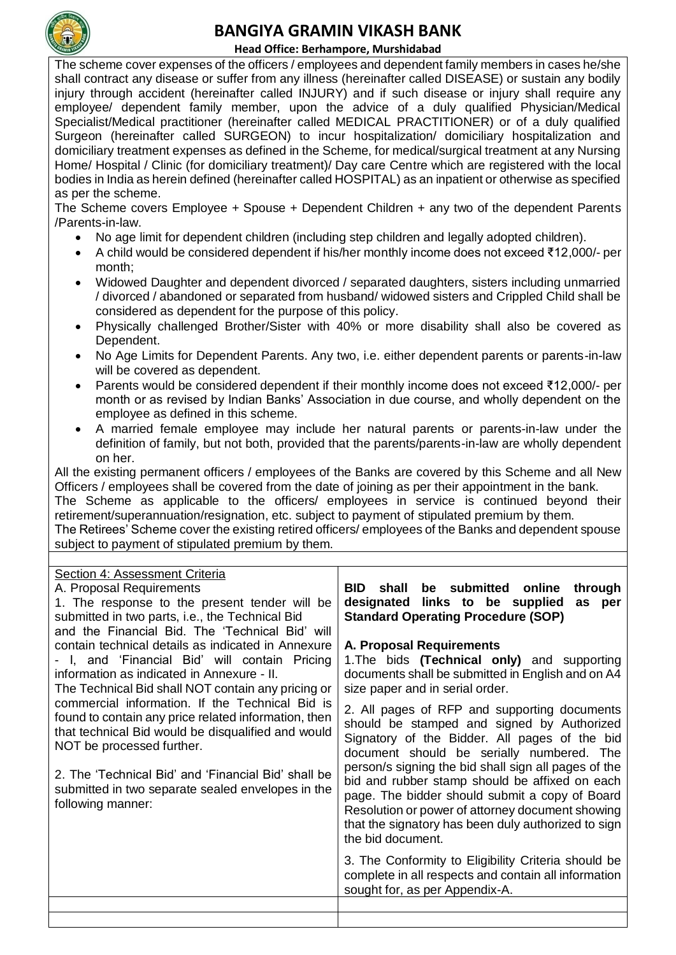

#### **Head Office: Berhampore, Murshidabad**

The scheme cover expenses of the officers / employees and dependent family members in cases he/she shall contract any disease or suffer from any illness (hereinafter called DISEASE) or sustain any bodily injury through accident (hereinafter called INJURY) and if such disease or injury shall require any employee/ dependent family member, upon the advice of a duly qualified Physician/Medical Specialist/Medical practitioner (hereinafter called MEDICAL PRACTITIONER) or of a duly qualified Surgeon (hereinafter called SURGEON) to incur hospitalization/ domiciliary hospitalization and domiciliary treatment expenses as defined in the Scheme, for medical/surgical treatment at any Nursing Home/ Hospital / Clinic (for domiciliary treatment)/ Day care Centre which are registered with the local bodies in India as herein defined (hereinafter called HOSPITAL) as an inpatient or otherwise as specified as per the scheme.

The Scheme covers Employee + Spouse + Dependent Children + any two of the dependent Parents /Parents-in-law.

- No age limit for dependent children (including step children and legally adopted children).
- A child would be considered dependent if his/her monthly income does not exceed ₹12,000/- per month;
- Widowed Daughter and dependent divorced / separated daughters, sisters including unmarried / divorced / abandoned or separated from husband/ widowed sisters and Crippled Child shall be considered as dependent for the purpose of this policy.
- Physically challenged Brother/Sister with 40% or more disability shall also be covered as Dependent.
- No Age Limits for Dependent Parents. Any two, i.e. either dependent parents or parents-in-law will be covered as dependent.
- Parents would be considered dependent if their monthly income does not exceed ₹12,000/- per month or as revised by Indian Banks' Association in due course, and wholly dependent on the employee as defined in this scheme.
- A married female employee may include her natural parents or parents-in-law under the definition of family, but not both, provided that the parents/parents-in-law are wholly dependent on her.

All the existing permanent officers / employees of the Banks are covered by this Scheme and all New Officers / employees shall be covered from the date of joining as per their appointment in the bank.

The Scheme as applicable to the officers/ employees in service is continued beyond their retirement/superannuation/resignation, etc. subject to payment of stipulated premium by them.

The Retirees' Scheme cover the existing retired officers/ employees of the Banks and dependent spouse subject to payment of stipulated premium by them.

| Section 4: Assessment Criteria<br>A. Proposal Requirements<br>1. The response to the present tender will be<br>submitted in two parts, i.e., the Technical Bid<br>and the Financial Bid. The 'Technical Bid' will<br>contain technical details as indicated in Annexure<br>- I, and 'Financial Bid' will contain Pricing<br>information as indicated in Annexure - II.<br>The Technical Bid shall NOT contain any pricing or<br>commercial information. If the Technical Bid is<br>found to contain any price related information, then<br>that technical Bid would be disqualified and would<br>NOT be processed further.<br>2. The 'Technical Bid' and 'Financial Bid' shall be<br>submitted in two separate sealed envelopes in the<br>following manner: | <b>BID</b> shall<br>be submitted online<br>through<br>links to be supplied<br>designated<br>as per<br><b>Standard Operating Procedure (SOP)</b>                                                                                                                                          |
|-------------------------------------------------------------------------------------------------------------------------------------------------------------------------------------------------------------------------------------------------------------------------------------------------------------------------------------------------------------------------------------------------------------------------------------------------------------------------------------------------------------------------------------------------------------------------------------------------------------------------------------------------------------------------------------------------------------------------------------------------------------|------------------------------------------------------------------------------------------------------------------------------------------------------------------------------------------------------------------------------------------------------------------------------------------|
|                                                                                                                                                                                                                                                                                                                                                                                                                                                                                                                                                                                                                                                                                                                                                             | <b>A. Proposal Requirements</b><br>1. The bids (Technical only) and supporting<br>documents shall be submitted in English and on A4<br>size paper and in serial order.                                                                                                                   |
|                                                                                                                                                                                                                                                                                                                                                                                                                                                                                                                                                                                                                                                                                                                                                             | 2. All pages of RFP and supporting documents<br>should be stamped and signed by Authorized<br>Signatory of the Bidder. All pages of the bid<br>document should be serially numbered. The                                                                                                 |
|                                                                                                                                                                                                                                                                                                                                                                                                                                                                                                                                                                                                                                                                                                                                                             | person/s signing the bid shall sign all pages of the<br>bid and rubber stamp should be affixed on each<br>page. The bidder should submit a copy of Board<br>Resolution or power of attorney document showing<br>that the signatory has been duly authorized to sign<br>the bid document. |
|                                                                                                                                                                                                                                                                                                                                                                                                                                                                                                                                                                                                                                                                                                                                                             | 3. The Conformity to Eligibility Criteria should be<br>complete in all respects and contain all information<br>sought for, as per Appendix-A.                                                                                                                                            |
|                                                                                                                                                                                                                                                                                                                                                                                                                                                                                                                                                                                                                                                                                                                                                             |                                                                                                                                                                                                                                                                                          |
|                                                                                                                                                                                                                                                                                                                                                                                                                                                                                                                                                                                                                                                                                                                                                             |                                                                                                                                                                                                                                                                                          |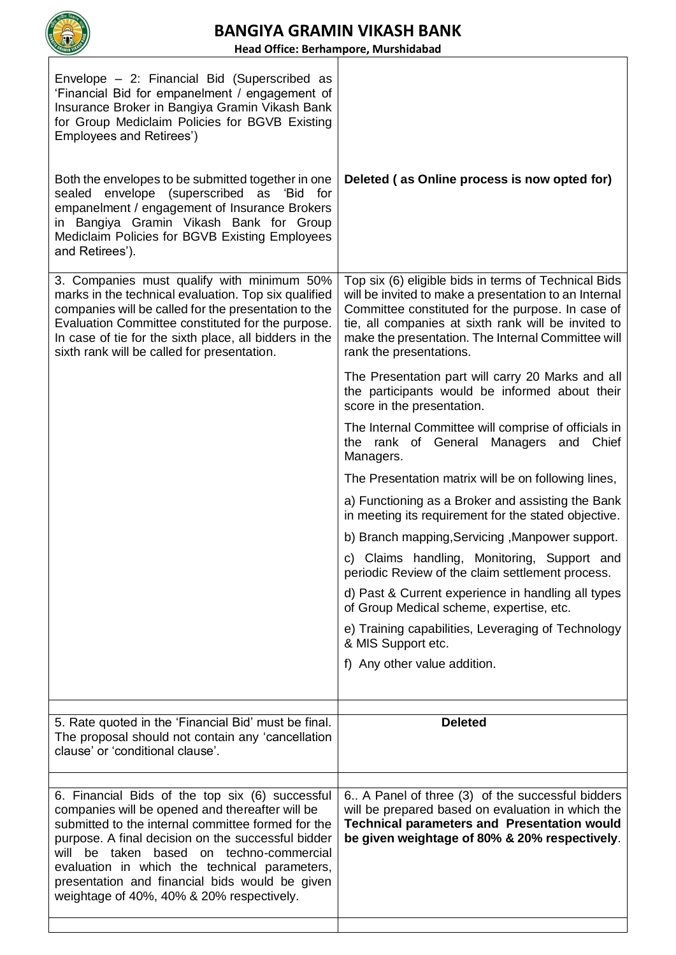

**Head Office: Berhampore, Murshidabad**

| Envelope - 2: Financial Bid (Superscribed as<br>'Financial Bid for empanelment / engagement of<br>Insurance Broker in Bangiya Gramin Vikash Bank<br>for Group Mediclaim Policies for BGVB Existing<br>Employees and Retirees')<br>Both the envelopes to be submitted together in one<br>sealed envelope (superscribed as 'Bid for<br>empanelment / engagement of Insurance Brokers<br>in Bangiya Gramin Vikash Bank for Group<br>Mediclaim Policies for BGVB Existing Employees<br>and Retirees'). | Deleted (as Online process is now opted for)                                                                                                                                                                                                                                                               |
|----------------------------------------------------------------------------------------------------------------------------------------------------------------------------------------------------------------------------------------------------------------------------------------------------------------------------------------------------------------------------------------------------------------------------------------------------------------------------------------------------|------------------------------------------------------------------------------------------------------------------------------------------------------------------------------------------------------------------------------------------------------------------------------------------------------------|
| 3. Companies must qualify with minimum 50%<br>marks in the technical evaluation. Top six qualified<br>companies will be called for the presentation to the<br>Evaluation Committee constituted for the purpose.<br>In case of tie for the sixth place, all bidders in the<br>sixth rank will be called for presentation.                                                                                                                                                                           | Top six (6) eligible bids in terms of Technical Bids<br>will be invited to make a presentation to an Internal<br>Committee constituted for the purpose. In case of<br>tie, all companies at sixth rank will be invited to<br>make the presentation. The Internal Committee will<br>rank the presentations. |
|                                                                                                                                                                                                                                                                                                                                                                                                                                                                                                    | The Presentation part will carry 20 Marks and all<br>the participants would be informed about their<br>score in the presentation.                                                                                                                                                                          |
|                                                                                                                                                                                                                                                                                                                                                                                                                                                                                                    | The Internal Committee will comprise of officials in<br>the rank of General Managers and Chief<br>Managers.                                                                                                                                                                                                |
|                                                                                                                                                                                                                                                                                                                                                                                                                                                                                                    | The Presentation matrix will be on following lines,                                                                                                                                                                                                                                                        |
|                                                                                                                                                                                                                                                                                                                                                                                                                                                                                                    | a) Functioning as a Broker and assisting the Bank<br>in meeting its requirement for the stated objective.                                                                                                                                                                                                  |
|                                                                                                                                                                                                                                                                                                                                                                                                                                                                                                    | b) Branch mapping, Servicing, Manpower support.                                                                                                                                                                                                                                                            |
|                                                                                                                                                                                                                                                                                                                                                                                                                                                                                                    | c) Claims handling, Monitoring, Support and<br>periodic Review of the claim settlement process.                                                                                                                                                                                                            |
|                                                                                                                                                                                                                                                                                                                                                                                                                                                                                                    | d) Past & Current experience in handling all types<br>of Group Medical scheme, expertise, etc.                                                                                                                                                                                                             |
|                                                                                                                                                                                                                                                                                                                                                                                                                                                                                                    | e) Training capabilities, Leveraging of Technology<br>& MIS Support etc.                                                                                                                                                                                                                                   |
|                                                                                                                                                                                                                                                                                                                                                                                                                                                                                                    | f) Any other value addition.                                                                                                                                                                                                                                                                               |
| 5. Rate quoted in the 'Financial Bid' must be final.<br>The proposal should not contain any 'cancellation<br>clause' or 'conditional clause'.                                                                                                                                                                                                                                                                                                                                                      | <b>Deleted</b>                                                                                                                                                                                                                                                                                             |
|                                                                                                                                                                                                                                                                                                                                                                                                                                                                                                    |                                                                                                                                                                                                                                                                                                            |
| 6. Financial Bids of the top six (6) successful<br>companies will be opened and thereafter will be<br>submitted to the internal committee formed for the<br>purpose. A final decision on the successful bidder<br>will be taken based on techno-commercial<br>evaluation in which the technical parameters,<br>presentation and financial bids would be given<br>weightage of 40%, 40% & 20% respectively.                                                                                         | 6. A Panel of three (3) of the successful bidders<br>will be prepared based on evaluation in which the<br><b>Technical parameters and Presentation would</b><br>be given weightage of 80% & 20% respectively.                                                                                              |
|                                                                                                                                                                                                                                                                                                                                                                                                                                                                                                    |                                                                                                                                                                                                                                                                                                            |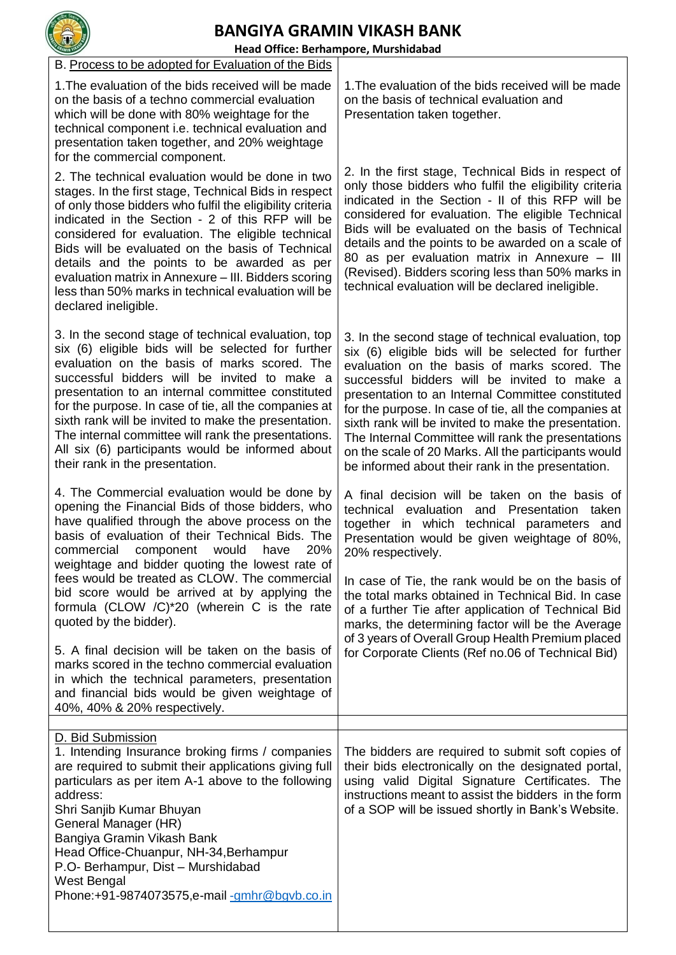| <b>BANGIYA GRAMIN VIKASH BANK</b><br>Head Office: Berhampore, Murshidabad                                                                                                                                                                                                                                                                                                                                                                                                                                                     |                                                                                                                                                                                                                                                                                                                                                                                                                                                                                                                                                    |  |
|-------------------------------------------------------------------------------------------------------------------------------------------------------------------------------------------------------------------------------------------------------------------------------------------------------------------------------------------------------------------------------------------------------------------------------------------------------------------------------------------------------------------------------|----------------------------------------------------------------------------------------------------------------------------------------------------------------------------------------------------------------------------------------------------------------------------------------------------------------------------------------------------------------------------------------------------------------------------------------------------------------------------------------------------------------------------------------------------|--|
| B. Process to be adopted for Evaluation of the Bids                                                                                                                                                                                                                                                                                                                                                                                                                                                                           |                                                                                                                                                                                                                                                                                                                                                                                                                                                                                                                                                    |  |
| 1. The evaluation of the bids received will be made<br>on the basis of a techno commercial evaluation<br>which will be done with 80% weightage for the<br>technical component i.e. technical evaluation and<br>presentation taken together, and 20% weightage<br>for the commercial component.                                                                                                                                                                                                                                | 1. The evaluation of the bids received will be made<br>on the basis of technical evaluation and<br>Presentation taken together.                                                                                                                                                                                                                                                                                                                                                                                                                    |  |
| 2. The technical evaluation would be done in two<br>stages. In the first stage, Technical Bids in respect<br>of only those bidders who fulfil the eligibility criteria<br>indicated in the Section - 2 of this RFP will be<br>considered for evaluation. The eligible technical<br>Bids will be evaluated on the basis of Technical<br>details and the points to be awarded as per<br>evaluation matrix in Annexure - III. Bidders scoring<br>less than 50% marks in technical evaluation will be<br>declared ineligible.     | 2. In the first stage, Technical Bids in respect of<br>only those bidders who fulfil the eligibility criteria<br>indicated in the Section - II of this RFP will be<br>considered for evaluation. The eligible Technical<br>Bids will be evaluated on the basis of Technical<br>details and the points to be awarded on a scale of<br>80 as per evaluation matrix in Annexure – III<br>(Revised). Bidders scoring less than 50% marks in<br>technical evaluation will be declared ineligible.                                                       |  |
| 3. In the second stage of technical evaluation, top<br>six (6) eligible bids will be selected for further<br>evaluation on the basis of marks scored. The<br>successful bidders will be invited to make a<br>presentation to an internal committee constituted<br>for the purpose. In case of tie, all the companies at<br>sixth rank will be invited to make the presentation.<br>The internal committee will rank the presentations.<br>All six (6) participants would be informed about<br>their rank in the presentation. | 3. In the second stage of technical evaluation, top<br>six (6) eligible bids will be selected for further<br>evaluation on the basis of marks scored. The<br>successful bidders will be invited to make a<br>presentation to an Internal Committee constituted<br>for the purpose. In case of tie, all the companies at<br>sixth rank will be invited to make the presentation.<br>The Internal Committee will rank the presentations<br>on the scale of 20 Marks. All the participants would<br>be informed about their rank in the presentation. |  |
| 4. The Commercial evaluation would be done by<br>opening the Financial Bids of those bidders, who<br>have qualified through the above process on the<br>basis of evaluation of their Technical Bids. The<br>20%<br>commercial<br>component<br>would<br>have<br>weightage and bidder quoting the lowest rate of<br>fees would be treated as CLOW. The commercial<br>bid score would be arrived at by applying the<br>formula (CLOW /C)*20 (wherein C is the rate<br>quoted by the bidder).                                     | A final decision will be taken on the basis of<br>technical evaluation and Presentation taken<br>together in which technical parameters and<br>Presentation would be given weightage of 80%,<br>20% respectively.<br>In case of Tie, the rank would be on the basis of<br>the total marks obtained in Technical Bid. In case<br>of a further Tie after application of Technical Bid<br>marks, the determining factor will be the Average                                                                                                           |  |
| 5. A final decision will be taken on the basis of<br>marks scored in the techno commercial evaluation<br>in which the technical parameters, presentation<br>and financial bids would be given weightage of<br>40%, 40% & 20% respectively.                                                                                                                                                                                                                                                                                    | of 3 years of Overall Group Health Premium placed<br>for Corporate Clients (Ref no.06 of Technical Bid)                                                                                                                                                                                                                                                                                                                                                                                                                                            |  |
| D. Bid Submission<br>1. Intending Insurance broking firms / companies<br>are required to submit their applications giving full<br>particulars as per item A-1 above to the following<br>address:<br>Shri Sanjib Kumar Bhuyan<br>General Manager (HR)<br>Bangiya Gramin Vikash Bank<br>Head Office-Chuanpur, NH-34, Berhampur<br>P.O- Berhampur, Dist - Murshidabad<br>West Bengal<br>Phone:+91-9874073575,e-mail-gmhr@bgvb.co.in                                                                                              | The bidders are required to submit soft copies of<br>their bids electronically on the designated portal,<br>using valid Digital Signature Certificates. The<br>instructions meant to assist the bidders in the form<br>of a SOP will be issued shortly in Bank's Website.                                                                                                                                                                                                                                                                          |  |
|                                                                                                                                                                                                                                                                                                                                                                                                                                                                                                                               |                                                                                                                                                                                                                                                                                                                                                                                                                                                                                                                                                    |  |